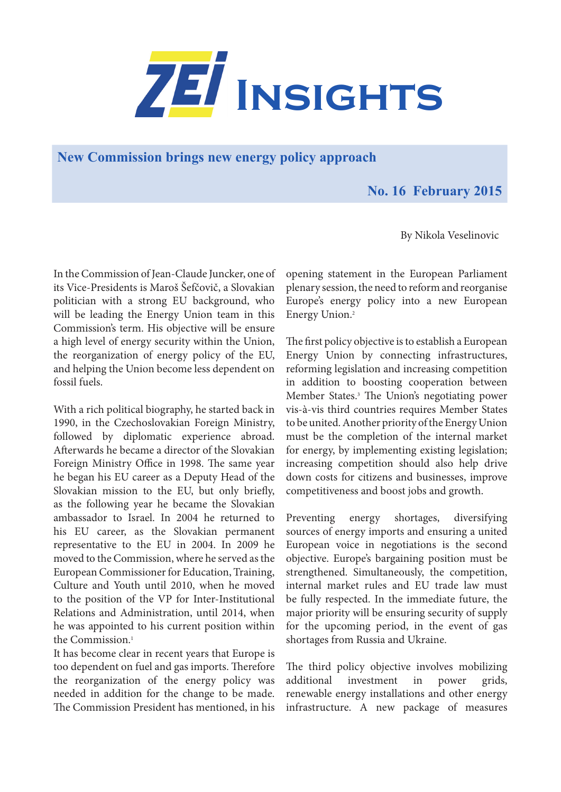

**New Commission brings new energy policy approach**

## **No. 16 February 2015**

By Nikola Veselinovic

In the Commission of Jean-Claude Juncker, one of its Vice-Presidents is Maroš Šefčovič, a Slovakian politician with a strong EU background, who will be leading the Energy Union team in this Commission's term. His objective will be ensure a high level of energy security within the Union, the reorganization of energy policy of the EU, and helping the Union become less dependent on fossil fuels.

With a rich political biography, he started back in 1990, in the Czechoslovakian Foreign Ministry, followed by diplomatic experience abroad. Afterwards he became a director of the Slovakian Foreign Ministry Office in 1998. The same year he began his EU career as a Deputy Head of the Slovakian mission to the EU, but only briefly, as the following year he became the Slovakian ambassador to Israel. In 2004 he returned to his EU career, as the Slovakian permanent representative to the EU in 2004. In 2009 he moved to the Commission, where he served as the European Commissioner for Education, Training, Culture and Youth until 2010, when he moved to the position of the VP for Inter-Institutional Relations and Administration, until 2014, when he was appointed to his current position within the Commission.<sup>1</sup>

It has become clear in recent years that Europe is too dependent on fuel and gas imports. Therefore the reorganization of the energy policy was needed in addition for the change to be made. The Commission President has mentioned, in his opening statement in the European Parliament plenary session, the need to reform and reorganise Europe's energy policy into a new European Energy Union.2

The first policy objective is to establish a European Energy Union by connecting infrastructures, reforming legislation and increasing competition in addition to boosting cooperation between Member States.3 The Union's negotiating power vis-à-vis third countries requires Member States to be united. Another priority of the Energy Union must be the completion of the internal market for energy, by implementing existing legislation; increasing competition should also help drive down costs for citizens and businesses, improve competitiveness and boost jobs and growth.

Preventing energy shortages, diversifying sources of energy imports and ensuring a united European voice in negotiations is the second objective. Europe's bargaining position must be strengthened. Simultaneously, the competition, internal market rules and EU trade law must be fully respected. In the immediate future, the major priority will be ensuring security of supply for the upcoming period, in the event of gas shortages from Russia and Ukraine.

The third policy objective involves mobilizing additional investment in power grids, renewable energy installations and other energy infrastructure. A new package of measures